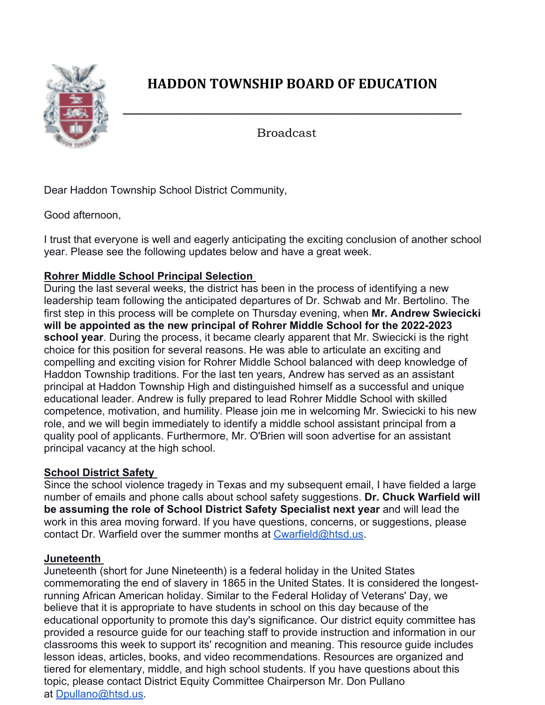

## **HADDON TOWNSHIP BOARD OF EDUCATION**

**\_\_\_\_\_\_\_\_\_\_\_\_\_\_\_\_\_\_\_\_\_\_\_\_\_\_\_\_\_\_\_\_\_\_\_\_\_\_\_\_\_\_\_\_\_\_\_\_\_\_\_\_\_\_\_\_\_**

Broadcast

Dear Haddon Township School District Community,

Good afternoon,

I trust that everyone is well and eagerly anticipating the exciting conclusion of another school year. Please see the following updates below and have a great week.

## **Rohrer Middle School Principal Selection**

During the last several weeks, the district has been in the process of identifying a new leadership team following the anticipated departures of Dr. Schwab and Mr. Bertolino. The first step in this process will be complete on Thursday evening, when **Mr. Andrew Swiecicki will be appointed as the new principal of Rohrer Middle School for the 2022-2023 school year**. During the process, it became clearly apparent that Mr. Swiecicki is the right choice for this position for several reasons. He was able to articulate an exciting and compelling and exciting vision for Rohrer Middle School balanced with deep knowledge of Haddon Township traditions. For the last ten years, Andrew has served as an assistant principal at Haddon Township High and distinguished himself as a successful and unique educational leader. Andrew is fully prepared to lead Rohrer Middle School with skilled competence, motivation, and humility. Please join me in welcoming Mr. Swiecicki to his new role, and we will begin immediately to identify a middle school assistant principal from a quality pool of applicants. Furthermore, Mr. O'Brien will soon advertise for an assistant principal vacancy at the high school.

## **School District Safety**

Since the school violence tragedy in Texas and my subsequent email, I have fielded a large number of emails and phone calls about school safety suggestions. **Dr. Chuck Warfield will be assuming the role of School District Safety Specialist next year** and will lead the work in this area moving forward. If you have questions, concerns, or suggestions, please contact Dr. Warfield over the summer months at Cwarfield@htsd.us.

## **Juneteenth**

Juneteenth (short for June Nineteenth) is a federal holiday in the United States commemorating the end of slavery in 1865 in the United States. It is considered the longestrunning African American holiday. Similar to the Federal Holiday of Veterans' Day, we believe that it is appropriate to have students in school on this day because of the educational opportunity to promote this day's significance. Our district equity committee has provided a resource guide for our teaching staff to provide instruction and information in our classrooms this week to support its' recognition and meaning. This resource guide includes lesson ideas, articles, books, and video recommendations. Resources are organized and tiered for elementary, middle, and high school students. If you have questions about this topic, please contact District Equity Committee Chairperson Mr. Don Pullano at Dpullano@htsd.us.